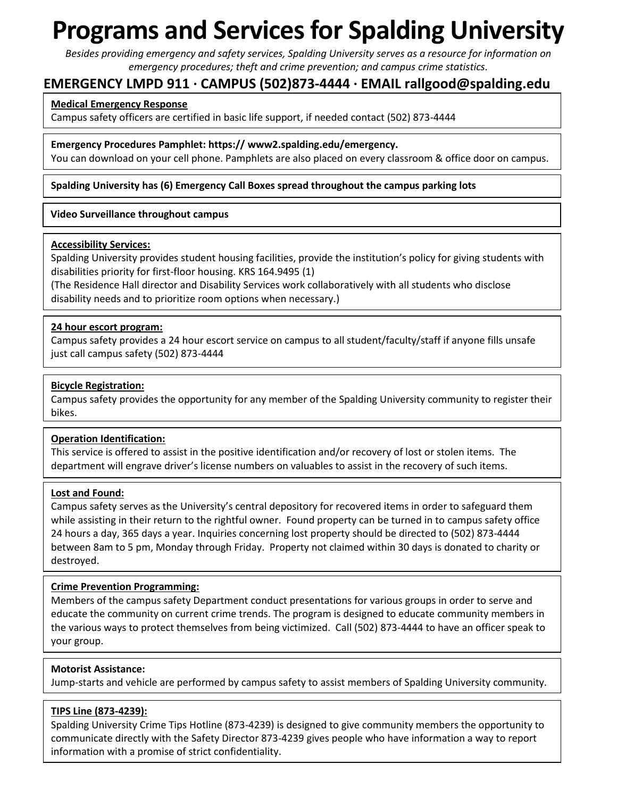# **Programs and Services for Spalding University**

*Besides providing emergency and safety services, Spalding University serves as a resource for information on emergency procedures; theft and crime prevention; and campus crime statistics.* 

# **EMERGENCY LMPD 911 ∙ CAMPUS (502)873-4444 ∙ EMAIL rallgood@spalding.edu**

#### **Medical Emergency Response**

Campus safety officers are certified in basic life support, if needed contact (502) 873-4444

**Emergency Procedures Pamphlet: https:// www2.spalding.edu/emergency.**

You can download on your cell phone. Pamphlets are also placed on every classroom & office door on campus.

#### **Spalding University has (6) Emergency Call Boxes spread throughout the campus parking lots**

#### **Video Surveillance throughout campus**

#### **Accessibility Services:**

Spalding University provides student housing facilities, provide the institution's policy for giving students with disabilities priority for first-floor housing. KRS 164.9495 (1)

(The Residence Hall director and Disability Services work collaboratively with all students who disclose disability needs and to prioritize room options when necessary.)

#### **24 hour escort program:**

Campus safety provides a 24 hour escort service on campus to all student/faculty/staff if anyone fills unsafe just call campus safety (502) 873-4444

#### **Bicycle Registration:**

Campus safety provides the opportunity for any member of the Spalding University community to register their bikes.

#### **Operation Identification:**

This service is offered to assist in the positive identification and/or recovery of lost or stolen items. The department will engrave driver's license numbers on valuables to assist in the recovery of such items.

#### **Lost and Found:**

Campus safety serves as the University's central depository for recovered items in order to safeguard them while assisting in their return to the rightful owner. Found property can be turned in to campus safety office 24 hours a day, 365 days a year. Inquiries concerning lost property should be directed to (502) 873-4444 between 8am to 5 pm, Monday through Friday. Property not claimed within 30 days is donated to charity or destroyed.

#### **Crime Prevention Programming:**

Members of the campus safety Department conduct presentations for various groups in order to serve and educate the community on current crime trends. The program is designed to educate community members in the various ways to protect themselves from being victimized. Call (502) 873-4444 to have an officer speak to your group.

#### **Motorist Assistance:**

Jump-starts and vehicle are performed by campus safety to assist members of Spalding University community.

#### **TIPS Line (873-4239):**

Spalding University Crime Tips Hotline (873-4239) is designed to give community members the opportunity to communicate directly with the Safety Director 873-4239 gives people who have information a way to report information with a promise of strict confidentiality.